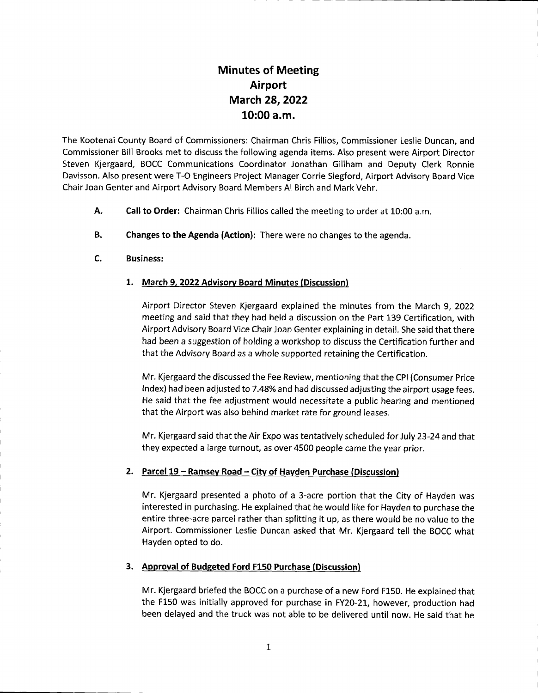# Minutes of Meeting Airport March 28,2022 10:00 a.m.

The Kootenai County Board of Commissioners: Chairman Chris Fillios, Commissioner Leslie Duncan, and Commissioner Bill Brooks met to discuss the following agenda items. Also present were Airport Director Steven Kjergaard, BOCC Communications Coordinator Jonathan Gillham and Deputy Clerk Ronnie Davisson. Also present were T-O Engineers Project Manager Corrie Siegford, Airport Advisory Board Vice Chair Joan Genter and Airport Advisory Board Members Al Birch and Mark Vehr.

- Call to Order: Chairman Chris Fillios called the meeting to order at 10:00 a.m. A.
- Changes to the Agenda (Action): There were no changes to the agenda. B.
- Business: c.

### 1. March 9, 2022 Advisory Board Minutes (Discussion)

Airport Director Steven Kjergaard explained the minutes from the March 9, 2022 meeting and said that they had held a discussion on the Part 139 Certification, with Airport Advisory Board Vice Chair Joan Genter explaining in detail. She said that there had been a suggestion of holding a workshop to discuss the Certification further and that the Advisory Board as a whole supported retaining the Certification.

Mr. Kjergaard the discussed the Fee Review, mentioning that the CPI (Consumer Price Index) had been adjusted to 7.48% and had discussed adjusting the airport usage fees. He said that the fee adjustment would necessitate a public hearing and mentioned that the Airport was also behind market rate for ground leases.

Mr. Kjergaard said that the Air Expo was tentatively scheduled for July 23-24 and that they expected a large turnout, as over 4500 people came the year prior.

#### 2. Parcel 19 - Ramsey Road - City of Hayden Purchase (Discussion)

Mr. Kjergaard presented a photo of a 3-acre portion that the City of Hayden was interested in purchasing. He explained that he would like for Hayden to purchase the entire three-acre parcel rather than splitting it up, as there would be no value to the Airport. Commissioner Leslie Duncan asked that Mr. Kjergaard tell the BOCC what Hayden opted to do.

## 3. Approval of Budgeted Ford F150 Purchase (Discussion)

Mr. Kjergaard briefed the BOCC on a purchase of a new Ford F150. He explained that the F150 was initially approved for purchase in FY20-21, however, production had been delayed and the truck was not able to be delivered until now. He said that he